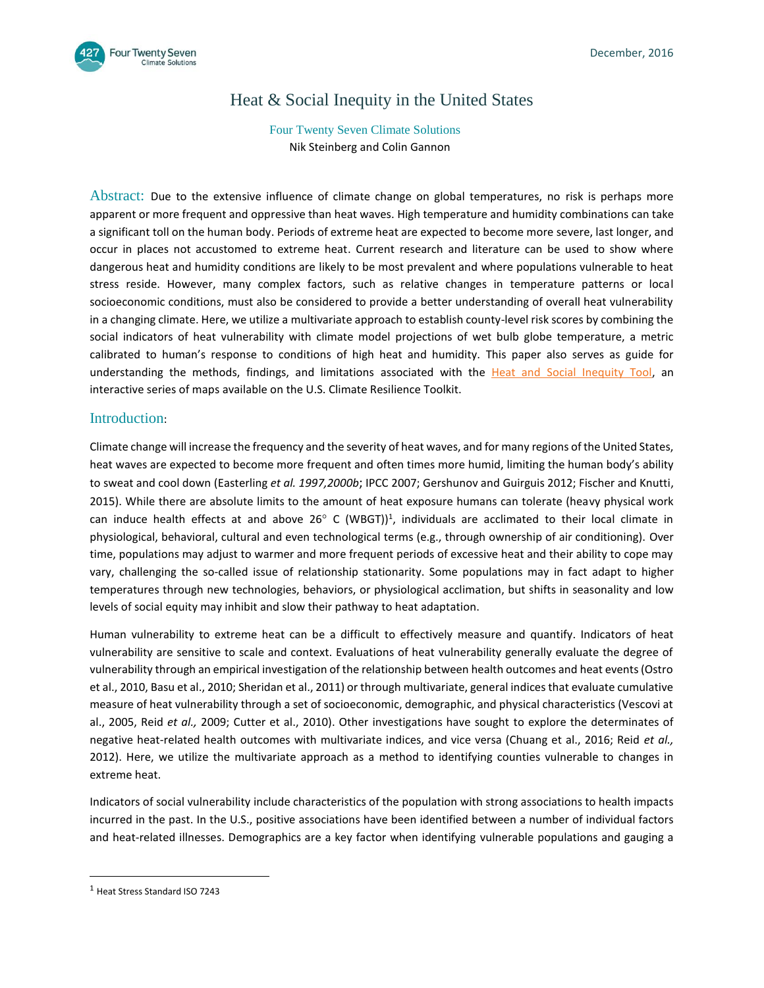

# Heat & Social Inequity in the United States

# Four Twenty Seven Climate Solutions Nik Steinberg and Colin Gannon

Abstract: Due to the extensive influence of climate change on global temperatures, no risk is perhaps more apparent or more frequent and oppressive than heat waves. High temperature and humidity combinations can take a significant toll on the human body. Periods of extreme heat are expected to become more severe, last longer, and occur in places not accustomed to extreme heat. Current research and literature can be used to show where dangerous heat and humidity conditions are likely to be most prevalent and where populations vulnerable to heat stress reside. However, many complex factors, such as relative changes in temperature patterns or local socioeconomic conditions, must also be considered to provide a better understanding of overall heat vulnerability in a changing climate. Here, we utilize a multivariate approach to establish county-level risk scores by combining the social indicators of heat vulnerability with climate model projections of wet bulb globe temperature, a metric calibrated to human's response to conditions of high heat and humidity. This paper also serves as guide for understanding the methods, findings, and limitations associated with the [Heat and Social Inequity Tool,](http://arcg.is/2gLss9a) an interactive series of maps available on the U.S. Climate Resilience Toolkit.

# Introduction:

Climate change will increase the frequency and the severity of heat waves, and for many regions of the United States, heat waves are expected to become more frequent and often times more humid, limiting the human body's ability to sweat and cool down (Easterling *[et al. 1997,2000b](http://journals.ametsoc.org/doi/full/10.1175/2009JCLI2465.1)*; IPCC 2007; Gershunov and Guirguis 2012; Fischer and Knutti, 2015). While there are absolute limits to the amount of heat exposure humans can tolerate (heavy physical work can induce health effects at and above 26 $^{\circ}$  C (WBGT))<sup>1</sup>, individuals are acclimated to their local climate in physiological, behavioral, cultural and even technological terms (e.g., through ownership of air conditioning). Over time, populations may adjust to warmer and more frequent periods of excessive heat and their ability to cope may vary, challenging the so-called issue of relationship stationarity. Some populations may in fact adapt to higher temperatures through new technologies, behaviors, or physiological acclimation, but shifts in seasonality and low levels of social equity may inhibit and slow their pathway to heat adaptation.

Human vulnerability to extreme heat can be a difficult to effectively measure and quantify. Indicators of heat vulnerability are sensitive to scale and context. Evaluations of heat vulnerability generally evaluate the degree of vulnerability through an empirical investigation of the relationship between health outcomes and heat events (Ostro et al., 2010, Basu et al., 2010; Sheridan et al., 2011) or through multivariate, general indices that evaluate cumulative measure of heat vulnerability through a set of socioeconomic, demographic, and physical characteristics (Vescovi at al., 2005, Reid *et al.,* 2009; Cutter et al., 2010). Other investigations have sought to explore the determinates of negative heat-related health outcomes with multivariate indices, and vice versa (Chuang et al., 2016; Reid *et al.,* 2012). Here, we utilize the multivariate approach as a method to identifying counties vulnerable to changes in extreme heat.

Indicators of social vulnerability include characteristics of the population with strong associations to health impacts incurred in the past. In the U.S., positive associations have been identified between a number of individual factors and heat-related illnesses. Demographics are a key factor when identifying vulnerable populations and gauging a

 $\overline{\phantom{a}}$ 

<sup>1</sup> Heat Stress Standard ISO 7243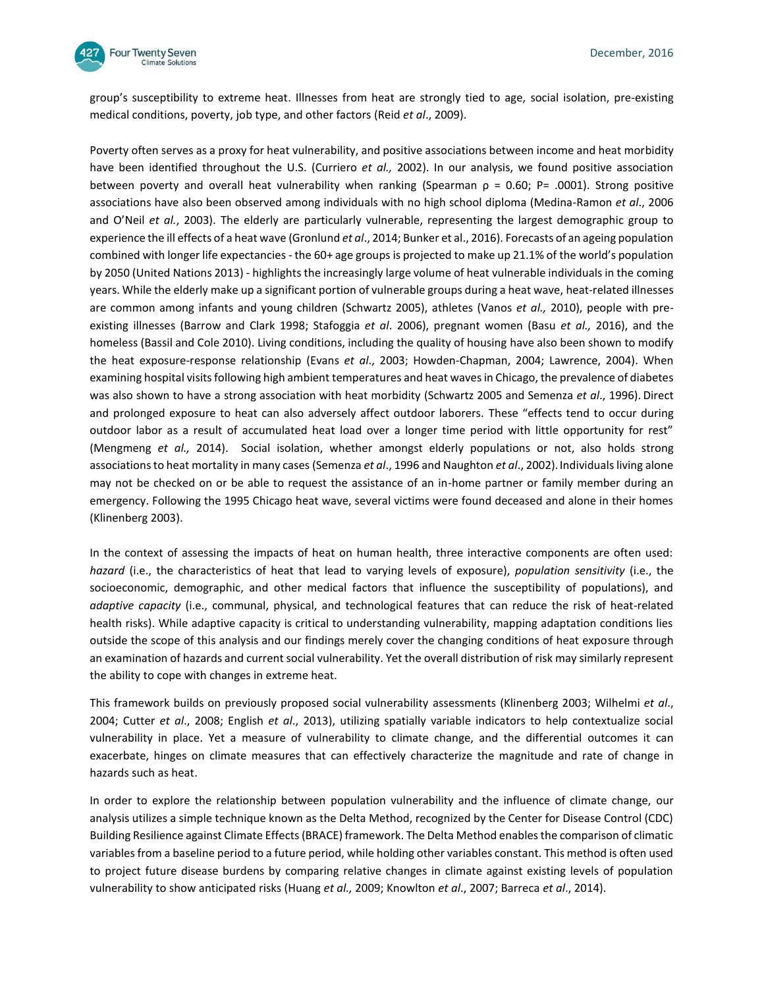

group's susceptibility to extreme heat. Illnesses from heat are strongly tied to age, social isolation, pre-existing medical conditions, poverty, job type, and other factors (Reid *et al*., 2009).

Poverty often serves as a proxy for heat vulnerability, and positive associations between income and heat morbidity have been identified throughout the U.S. (Curriero *et al.,* 2002). In our analysis, we found positive association between poverty and overall heat vulnerability when ranking (Spearman  $\rho = 0.60$ ; P= .0001). Strong positive associations have also been observed among individuals with no high school diploma (Medina-Ramon *et al*., 2006 and O'Neil *et al.*, 2003). The elderly are particularly vulnerable, representing the largest demographic group to experience the ill effects of a heat wave (Gronlund *et al*., 2014; Bunker et al., 2016). Forecasts of an ageing population combined with longer life expectancies - the 60+ age groups is projected to make up 21.1% of the world's population by 2050 (United Nations 2013) - highlights the increasingly large volume of heat vulnerable individuals in the coming years. While the elderly make up a significant portion of vulnerable groups during a heat wave, heat-related illnesses are common among infants and young children (Schwartz 2005), athletes (Vanos *et al.,* 2010), people with preexisting illnesses (Barrow and Clark 1998; Stafoggia *et al*. 2006), pregnant women (Basu *et al.,* 2016), and the homeless (Bassil and Cole 2010). Living conditions, including the quality of housing have also been shown to modify the heat exposure-response relationship (Evans *et al*., 2003; Howden-Chapman, 2004; Lawrence, 2004). When examining hospital visits following high ambient temperatures and heat waves in Chicago, the prevalence of diabetes was also shown to have a strong association with heat morbidity (Schwartz 2005 and Semenza *et al*., 1996). Direct and prolonged exposure to heat can also adversely affect outdoor laborers. These "effects tend to occur during outdoor labor as a result of accumulated heat load over a longer time period with little opportunity for rest" (Mengmeng *et al.,* 2014). Social isolation, whether amongst elderly populations or not, also holds strong associations to heat mortality in many cases (Semenza *et al*., 1996 and Naughton *et al*., 2002).Individuals living alone may not be checked on or be able to request the assistance of an in-home partner or family member during an emergency. Following the 1995 Chicago heat wave, several victims were found deceased and alone in their homes (Klinenberg 2003).

In the context of assessing the impacts of heat on human health, three interactive components are often used: *hazard* (i.e., the characteristics of heat that lead to varying levels of exposure), *population sensitivity* (i.e., the socioeconomic, demographic, and other medical factors that influence the susceptibility of populations), and *adaptive capacity* (i.e., communal, physical, and technological features that can reduce the risk of heat-related health risks). While adaptive capacity is critical to understanding vulnerability, mapping adaptation conditions lies outside the scope of this analysis and our findings merely cover the changing conditions of heat exposure through an examination of hazards and current social vulnerability. Yet the overall distribution of risk may similarly represent the ability to cope with changes in extreme heat.

This framework builds on previously proposed social vulnerability assessments (Klinenberg 2003; Wilhelmi *et al*., 2004; Cutter *et al*., 2008; English *et al*., 2013), utilizing spatially variable indicators to help contextualize social vulnerability in place. Yet a measure of vulnerability to climate change, and the differential outcomes it can exacerbate, hinges on climate measures that can effectively characterize the magnitude and rate of change in hazards such as heat.

In order to explore the relationship between population vulnerability and the influence of climate change, our analysis utilizes a simple technique known as the Delta Method, recognized by the Center for Disease Control (CDC) Building Resilience against Climate Effects (BRACE) framework. The Delta Method enables the comparison of climatic variables from a baseline period to a future period, while holding other variables constant. This method is often used to project future disease burdens by comparing relative changes in climate against existing levels of population vulnerability to show anticipated risks (Huang *et al.,* 2009; Knowlton *et al*., 2007; Barreca *et al*., 2014).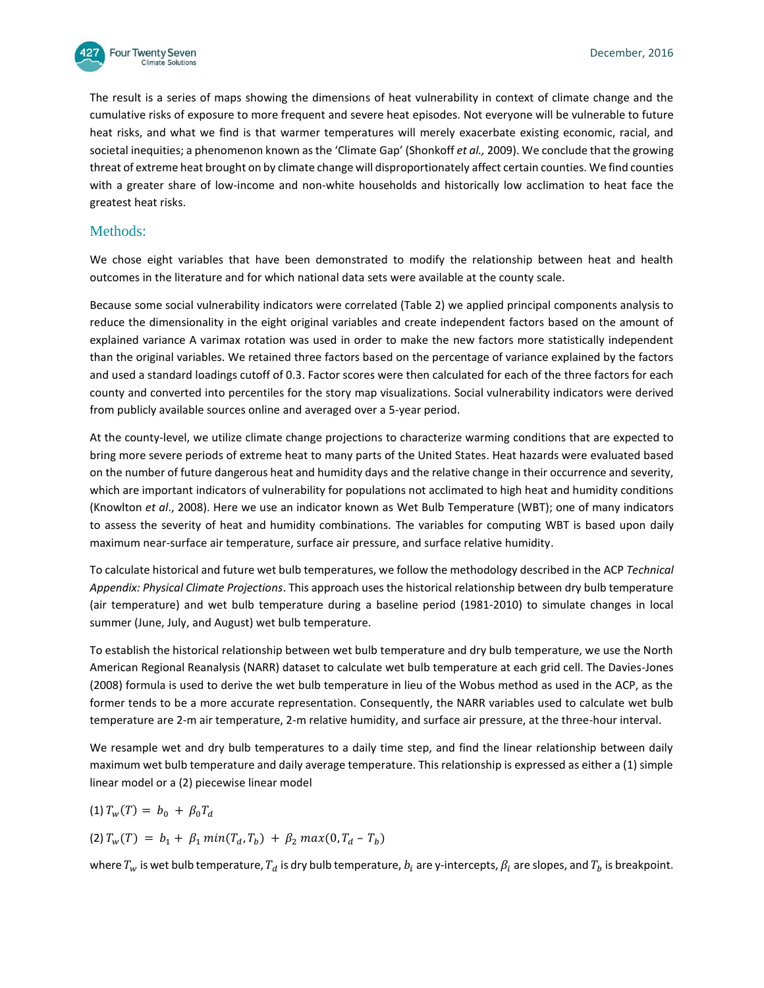

The result is a series of maps showing the dimensions of heat vulnerability in context of climate change and the cumulative risks of exposure to more frequent and severe heat episodes. Not everyone will be vulnerable to future heat risks, and what we find is that warmer temperatures will merely exacerbate existing economic, racial, and societal inequities; a phenomenon known as the 'Climate Gap' (Shonkoff *et al.,* 2009). We conclude that the growing threat of extreme heat brought on by climate change will disproportionately affect certain counties. We find counties with a greater share of low-income and non-white households and historically low acclimation to heat face the greatest heat risks.

# Methods:

We chose eight variables that have been demonstrated to modify the relationship between heat and health outcomes in the literature and for which national data sets were available at the county scale.

Because some social vulnerability indicators were correlated (Table 2) we applied principal components analysis to reduce the dimensionality in the eight original variables and create independent factors based on the amount of explained variance A varimax rotation was used in order to make the new factors more statistically independent than the original variables. We retained three factors based on the percentage of variance explained by the factors and used a standard loadings cutoff of 0.3. Factor scores were then calculated for each of the three factors for each county and converted into percentiles for the story map visualizations. Social vulnerability indicators were derived from publicly available sources online and averaged over a 5-year period.

At the county-level, we utilize climate change projections to characterize warming conditions that are expected to bring more severe periods of extreme heat to many parts of the United States. Heat hazards were evaluated based on the number of future dangerous heat and humidity days and the relative change in their occurrence and severity, which are important indicators of vulnerability for populations not acclimated to high heat and humidity conditions (Knowlton *et al*., 2008). Here we use an indicator known as Wet Bulb Temperature (WBT); one of many indicators to assess the severity of heat and humidity combinations. The variables for computing WBT is based upon daily maximum near-surface air temperature, surface air pressure, and surface relative humidity.

To calculate historical and future wet bulb temperatures, we follow the methodology described in the ACP *Technical Appendix: Physical Climate Projections*. This approach uses the historical relationship between dry bulb temperature (air temperature) and wet bulb temperature during a baseline period (1981-2010) to simulate changes in local summer (June, July, and August) wet bulb temperature.

To establish the historical relationship between wet bulb temperature and dry bulb temperature, we use the North American Regional Reanalysis (NARR) dataset to calculate wet bulb temperature at each grid cell. The Davies-Jones (2008) formula is used to derive the wet bulb temperature in lieu of the Wobus method as used in the ACP, as the former tends to be a more accurate representation. Consequently, the NARR variables used to calculate wet bulb temperature are 2-m air temperature, 2-m relative humidity, and surface air pressure, at the three-hour interval.

We resample wet and dry bulb temperatures to a daily time step, and find the linear relationship between daily maximum wet bulb temperature and daily average temperature. This relationship is expressed as either a (1) simple linear model or a (2) piecewise linear model

$$
(1) T_w(T) = b_0 + \beta_0 T_d
$$

(2)  $T_w(T) = b_1 + \beta_1 \min(T_d, T_h) + \beta_2 \max(0, T_d - T_h)$ 

where  $T_w$  is wet bulb temperature,  $T_d$  is dry bulb temperature,  $b_i$  are y-intercepts,  $\beta_i$  are slopes, and  $T_b$  is breakpoint.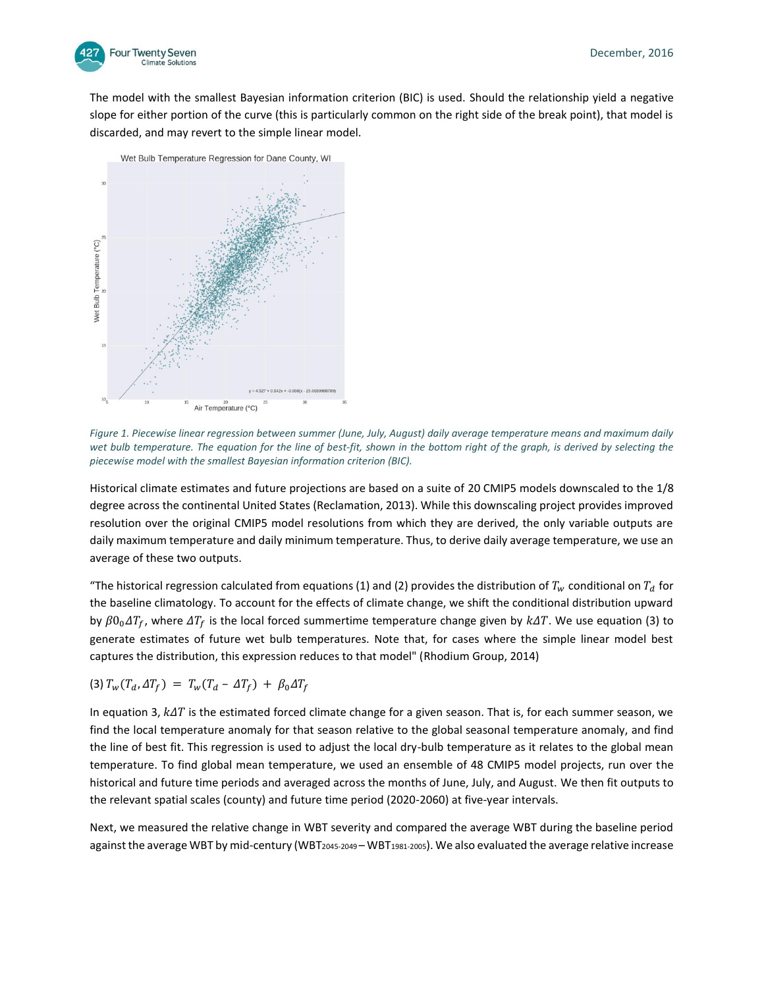

The model with the smallest Bayesian information criterion (BIC) is used. Should the relationship yield a negative slope for either portion of the curve (this is particularly common on the right side of the break point), that model is discarded, and may revert to the simple linear model.



*Figure 1. Piecewise linear regression between summer (June, July, August) daily average temperature means and maximum daily*  wet bulb temperature. The equation for the line of best-fit, shown in the bottom right of the graph, is derived by selecting the *piecewise model with the smallest Bayesian information criterion (BIC).*

Historical climate estimates and future projections are based on a suite of 20 CMIP5 models downscaled to the 1/8 degree across the continental United States (Reclamation, 2013). While this downscaling project provides improved resolution over the original CMIP5 model resolutions from which they are derived, the only variable outputs are daily maximum temperature and daily minimum temperature. Thus, to derive daily average temperature, we use an average of these two outputs.

"The historical regression calculated from equations (1) and (2) provides the distribution of  $T_w$  conditional on  $T_d$  for the baseline climatology. To account for the effects of climate change, we shift the conditional distribution upward by  $\beta 0_0 \Delta T_f$ , where  $\Delta T_f$  is the local forced summertime temperature change given by  $k\Delta T$ . We use equation (3) to generate estimates of future wet bulb temperatures. Note that, for cases where the simple linear model best captures the distribution, this expression reduces to that model" (Rhodium Group, 2014)

$$
(3) T_w(T_d, \Delta T_f) = T_w(T_d - \Delta T_f) + \beta_0 \Delta T_f
$$

In equation 3,  $k\Delta T$  is the estimated forced climate change for a given season. That is, for each summer season, we find the local temperature anomaly for that season relative to the global seasonal temperature anomaly, and find the line of best fit. This regression is used to adjust the local dry-bulb temperature as it relates to the global mean temperature. To find global mean temperature, we used an ensemble of 48 CMIP5 model projects, run over the historical and future time periods and averaged across the months of June, July, and August. We then fit outputs to the relevant spatial scales (county) and future time period (2020-2060) at five-year intervals.

Next, we measured the relative change in WBT severity and compared the average WBT during the baseline period against the average WBT by mid-century (WBT<sub>2045-2049</sub> – WBT<sub>1981-2005</sub>). We also evaluated the average relative increase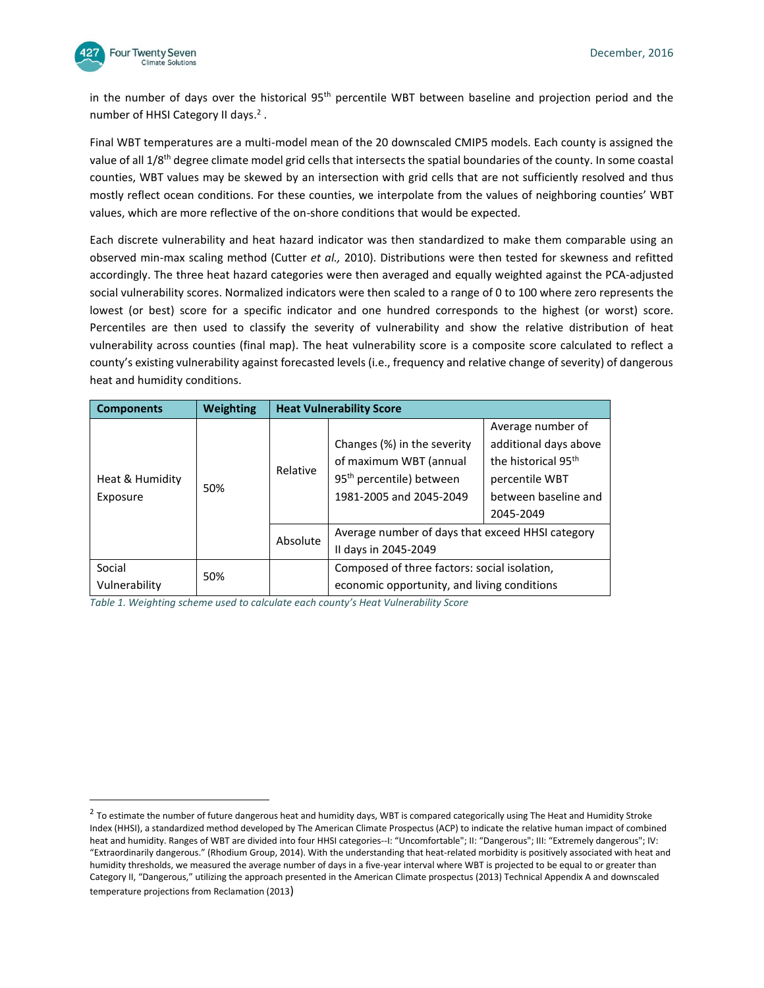

 $\overline{a}$ 

in the number of days over the historical 95<sup>th</sup> percentile WBT between baseline and projection period and the number of HHSI Category II days.<sup>2</sup>.

Final WBT temperatures are a multi-model mean of the 20 downscaled CMIP5 models. Each county is assigned the value of all 1/8<sup>th</sup> degree climate model grid cells that intersects the spatial boundaries of the county. In some coastal counties, WBT values may be skewed by an intersection with grid cells that are not sufficiently resolved and thus mostly reflect ocean conditions. For these counties, we interpolate from the values of neighboring counties' WBT values, which are more reflective of the on-shore conditions that would be expected.

Each discrete vulnerability and heat hazard indicator was then standardized to make them comparable using an observed min-max scaling method (Cutter *et al.,* 2010). Distributions were then tested for skewness and refitted accordingly. The three heat hazard categories were then averaged and equally weighted against the PCA-adjusted social vulnerability scores. Normalized indicators were then scaled to a range of 0 to 100 where zero represents the lowest (or best) score for a specific indicator and one hundred corresponds to the highest (or worst) score. Percentiles are then used to classify the severity of vulnerability and show the relative distribution of heat vulnerability across counties (final map). The heat vulnerability score is a composite score calculated to reflect a county's existing vulnerability against forecasted levels (i.e., frequency and relative change of severity) of dangerous heat and humidity conditions.

| <b>Components</b>           | <b>Weighting</b> |          | <b>Heat Vulnerability Score</b>                                                                                          |                                                                                                                                      |  |  |
|-----------------------------|------------------|----------|--------------------------------------------------------------------------------------------------------------------------|--------------------------------------------------------------------------------------------------------------------------------------|--|--|
| Heat & Humidity<br>Exposure | 50%              | Relative | Changes (%) in the severity<br>of maximum WBT (annual<br>95 <sup>th</sup> percentile) between<br>1981-2005 and 2045-2049 | Average number of<br>additional days above<br>the historical 95 <sup>th</sup><br>percentile WBT<br>between baseline and<br>2045-2049 |  |  |
|                             |                  | Absolute | Average number of days that exceed HHSI category<br>II days in 2045-2049                                                 |                                                                                                                                      |  |  |
| Social<br>Vulnerability     | 50%              |          | Composed of three factors: social isolation,<br>economic opportunity, and living conditions                              |                                                                                                                                      |  |  |

*Table 1. Weighting scheme used to calculate each county's Heat Vulnerability Score*

<sup>&</sup>lt;sup>2</sup> To estimate the number of future dangerous heat and humidity days, WBT is compared categorically using The Heat and Humidity Stroke Index (HHSI), a standardized method developed by The American Climate Prospectus (ACP) to indicate the relative human impact of combined heat and humidity. Ranges of WBT are divided into four HHSI categories--I: "Uncomfortable"; II: "Dangerous"; III: "Extremely dangerous"; IV: "Extraordinarily dangerous." (Rhodium Group, 2014). With the understanding that heat-related morbidity is positively associated with heat and humidity thresholds, we measured the average number of days in a five-year interval where WBT is projected to be equal to or greater than Category II, "Dangerous," utilizing the approach presented in the American Climate prospectus (2013) Technical Appendix A and downscaled temperature projections from Reclamation (2013)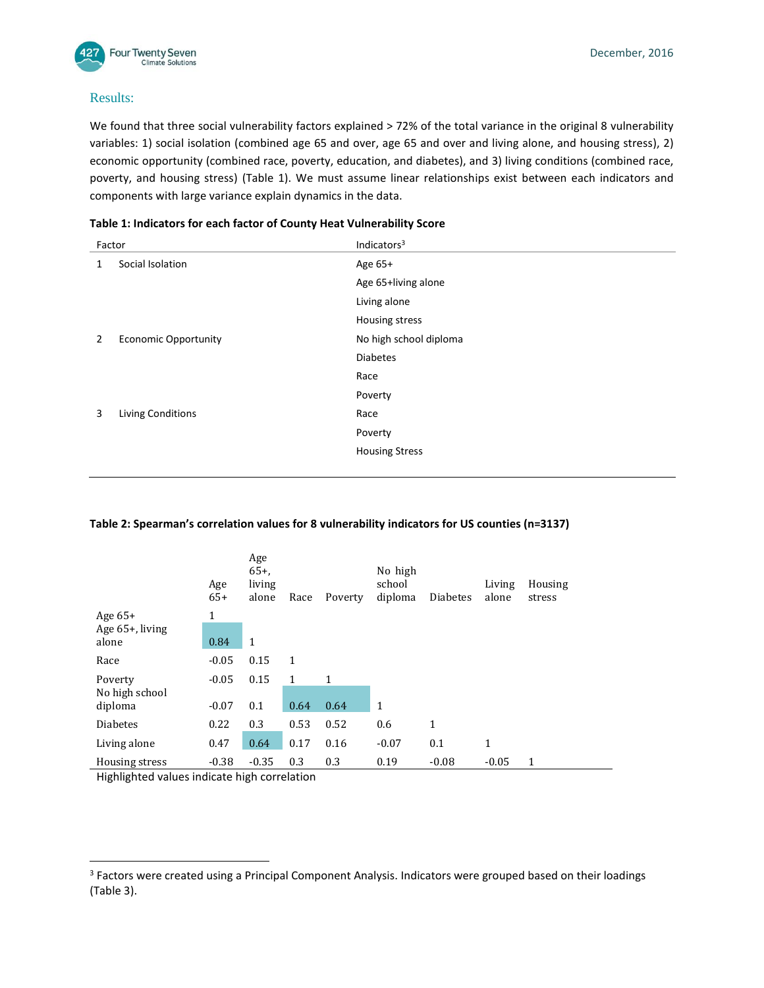

## Results:

We found that three social vulnerability factors explained > 72% of the total variance in the original 8 vulnerability variables: 1) social isolation (combined age 65 and over, age 65 and over and living alone, and housing stress), 2) economic opportunity (combined race, poverty, education, and diabetes), and 3) living conditions (combined race, poverty, and housing stress) (Table 1). We must assume linear relationships exist between each indicators and components with large variance explain dynamics in the data.

| Factor |                             | Indicators <sup>3</sup> |  |  |
|--------|-----------------------------|-------------------------|--|--|
| 1      | Social Isolation            | Age 65+                 |  |  |
|        |                             | Age 65+living alone     |  |  |
|        |                             | Living alone            |  |  |
|        |                             | Housing stress          |  |  |
| 2      | <b>Economic Opportunity</b> | No high school diploma  |  |  |
|        |                             | <b>Diabetes</b>         |  |  |
|        |                             | Race                    |  |  |
|        |                             | Poverty                 |  |  |
| 3      | <b>Living Conditions</b>    | Race                    |  |  |
|        |                             | Poverty                 |  |  |
|        |                             | <b>Housing Stress</b>   |  |  |
|        |                             |                         |  |  |

### **Table 1: Indicators for each factor of County Heat Vulnerability Score**

### **Table 2: Spearman's correlation values for 8 vulnerability indicators for US counties (n=3137)**

|                    | Age<br>$65+$ | Age<br>$65+$<br>living<br>alone | Race         | Poverty | No high<br>school<br>diploma | <b>Diabetes</b> | Living<br>alone | Housing<br>stress |
|--------------------|--------------|---------------------------------|--------------|---------|------------------------------|-----------------|-----------------|-------------------|
| Age $65+$          | 1            |                                 |              |         |                              |                 |                 |                   |
| Age $65+$ , living |              |                                 |              |         |                              |                 |                 |                   |
| alone              | 0.84         | 1                               |              |         |                              |                 |                 |                   |
| Race               | $-0.05$      | 0.15                            | $\mathbf{1}$ |         |                              |                 |                 |                   |
| Poverty            | $-0.05$      | 0.15                            | 1            | 1       |                              |                 |                 |                   |
| No high school     |              |                                 |              |         |                              |                 |                 |                   |
| diploma            | $-0.07$      | 0.1                             | 0.64         | 0.64    | $\mathbf{1}$                 |                 |                 |                   |
| <b>Diabetes</b>    | 0.22         | 0.3                             | 0.53         | 0.52    | 0.6                          | 1               |                 |                   |
| Living alone       | 0.47         | 0.64                            | 0.17         | 0.16    | $-0.07$                      | 0.1             | 1               |                   |
| Housing stress     | $-0.38$      | $-0.35$                         | 0.3          | 0.3     | 0.19                         | $-0.08$         | $-0.05$         | 1                 |

Highlighted values indicate high correlation

l

<sup>&</sup>lt;sup>3</sup> Factors were created using a Principal Component Analysis. Indicators were grouped based on their loadings (Table 3).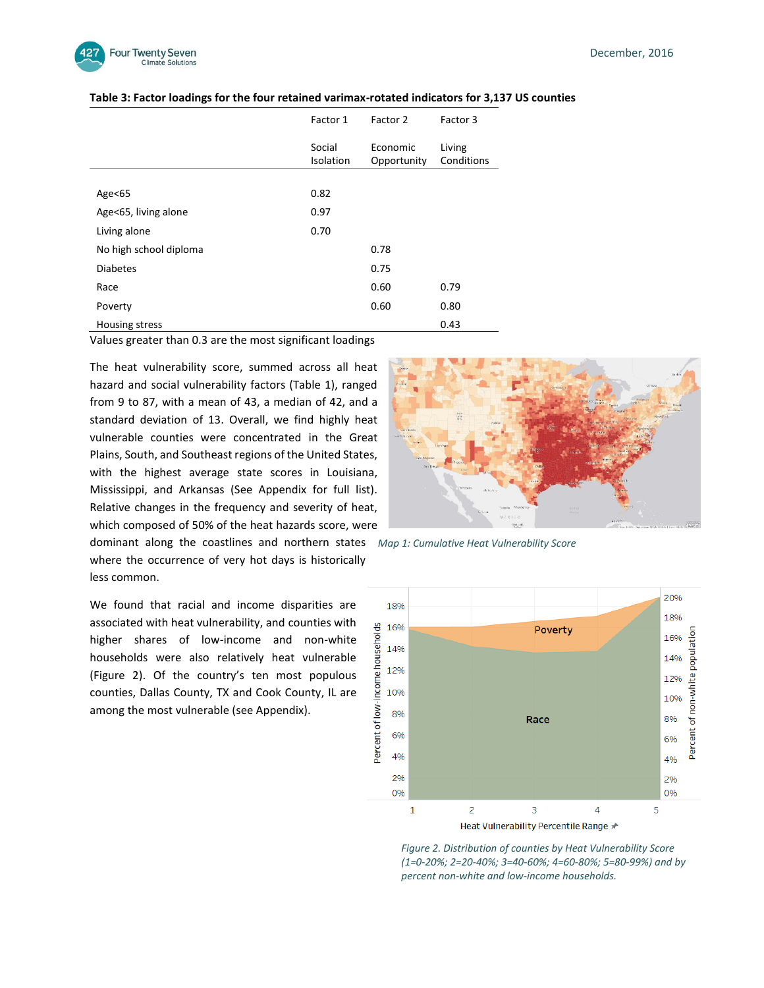

|                        | Factor 1            | Factor 2                | Factor 3             |
|------------------------|---------------------|-------------------------|----------------------|
|                        | Social<br>Isolation | Economic<br>Opportunity | Living<br>Conditions |
| Age<65                 | 0.82                |                         |                      |
| Age<65, living alone   | 0.97                |                         |                      |
| Living alone           | 0.70                |                         |                      |
| No high school diploma |                     | 0.78                    |                      |
| <b>Diabetes</b>        |                     | 0.75                    |                      |
| Race                   |                     | 0.60                    | 0.79                 |
| Poverty                |                     | 0.60                    | 0.80                 |
| Housing stress         |                     |                         | 0.43                 |

#### **Table 3: Factor loadings for the four retained varimax-rotated indicators for 3,137 US counties**

Values greater than 0.3 are the most significant loadings

The heat vulnerability score, summed across all heat hazard and social vulnerability factors (Table 1), ranged from 9 to 87, with a mean of 43, a median of 42, and a standard deviation of 13. Overall, we find highly heat vulnerable counties were concentrated in the Great Plains, South, and Southeast regions of the United States, with the highest average state scores in Louisiana, Mississippi, and Arkansas (See Appendix for full list). Relative changes in the frequency and severity of heat, which composed of 50% of the heat hazards score, were

where the occurrence of very hot days is historically less common.

We found that racial and income disparities are associated with heat vulnerability, and counties with higher shares of low-income and non-white households were also relatively heat vulnerable (Figure 2). Of the country's ten most populous counties, Dallas County, TX and Cook County, IL are among the most vulnerable (see Appendix).



dominant along the coastlines and northern states *Map 1: Cumulative Heat Vulnerability Score*



*Figure 2. Distribution of counties by Heat Vulnerability Score (1=0-20%; 2=20-40%; 3=40-60%; 4=60-80%; 5=80-99%) and by percent non-white and low-income households.*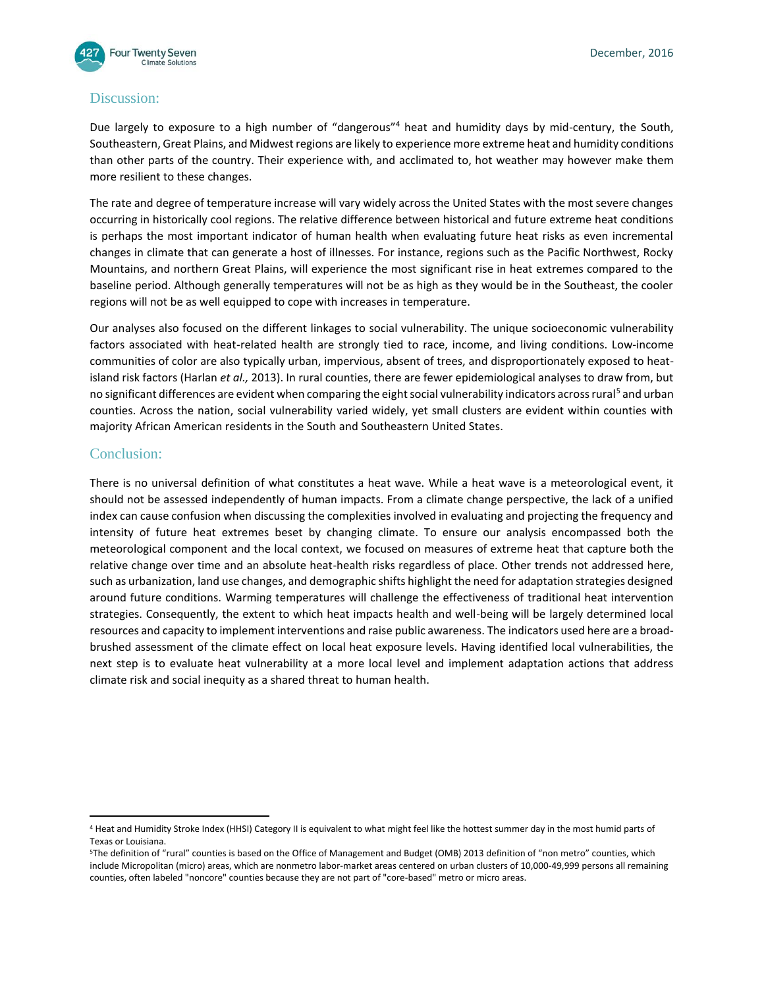

# Discussion:

Due largely to exposure to a high number of "dangerous"<sup>4</sup> heat and humidity days by mid-century, the South, Southeastern, Great Plains, and Midwest regions are likely to experience more extreme heat and humidity conditions than other parts of the country. Their experience with, and acclimated to, hot weather may however make them more resilient to these changes.

The rate and degree of temperature increase will vary widely across the United States with the most severe changes occurring in historically cool regions. The relative difference between historical and future extreme heat conditions is perhaps the most important indicator of human health when evaluating future heat risks as even incremental changes in climate that can generate a host of illnesses. For instance, regions such as the Pacific Northwest, Rocky Mountains, and northern Great Plains, will experience the most significant rise in heat extremes compared to the baseline period. Although generally temperatures will not be as high as they would be in the Southeast, the cooler regions will not be as well equipped to cope with increases in temperature.

Our analyses also focused on the different linkages to social vulnerability. The unique socioeconomic vulnerability factors associated with heat-related health are strongly tied to race, income, and living conditions. Low-income communities of color are also typically urban, impervious, absent of trees, and disproportionately exposed to heatisland risk factors (Harlan *et al.,* 2013). In rural counties, there are fewer epidemiological analyses to draw from, but no significant differences are evident when comparing the eight social vulnerability indicators across rural<sup>5</sup> and urban counties. Across the nation, social vulnerability varied widely, yet small clusters are evident within counties with majority African American residents in the South and Southeastern United States.

# Conclusion:

l

There is no universal definition of what constitutes a heat wave. While a heat wave is a meteorological event, it should not be assessed independently of human impacts. From a climate change perspective, the lack of a unified index can cause confusion when discussing the complexities involved in evaluating and projecting the frequency and intensity of future heat extremes beset by changing climate. To ensure our analysis encompassed both the meteorological component and the local context, we focused on measures of extreme heat that capture both the relative change over time and an absolute heat-health risks regardless of place. Other trends not addressed here, such as urbanization, land use changes, and demographic shifts highlight the need for adaptation strategies designed around future conditions. Warming temperatures will challenge the effectiveness of traditional heat intervention strategies. Consequently, the extent to which heat impacts health and well-being will be largely determined local resources and capacity to implement interventions and raise public awareness. The indicators used here are a broadbrushed assessment of the climate effect on local heat exposure levels. Having identified local vulnerabilities, the next step is to evaluate heat vulnerability at a more local level and implement adaptation actions that address climate risk and social inequity as a shared threat to human health.

<sup>4</sup> Heat and Humidity Stroke Index (HHSI) Category II is equivalent to what might feel like the hottest summer day in the most humid parts of Texas or Louisiana.

<sup>5</sup>The definition of "rural" counties is based on the Office of Management and Budget (OMB) 2013 definition of "non metro" counties, which include Micropolitan (micro) areas, which are nonmetro labor-market areas centered on urban clusters of 10,000-49,999 persons all remaining counties, often labeled "noncore" counties because they are not part of "core-based" metro or micro areas.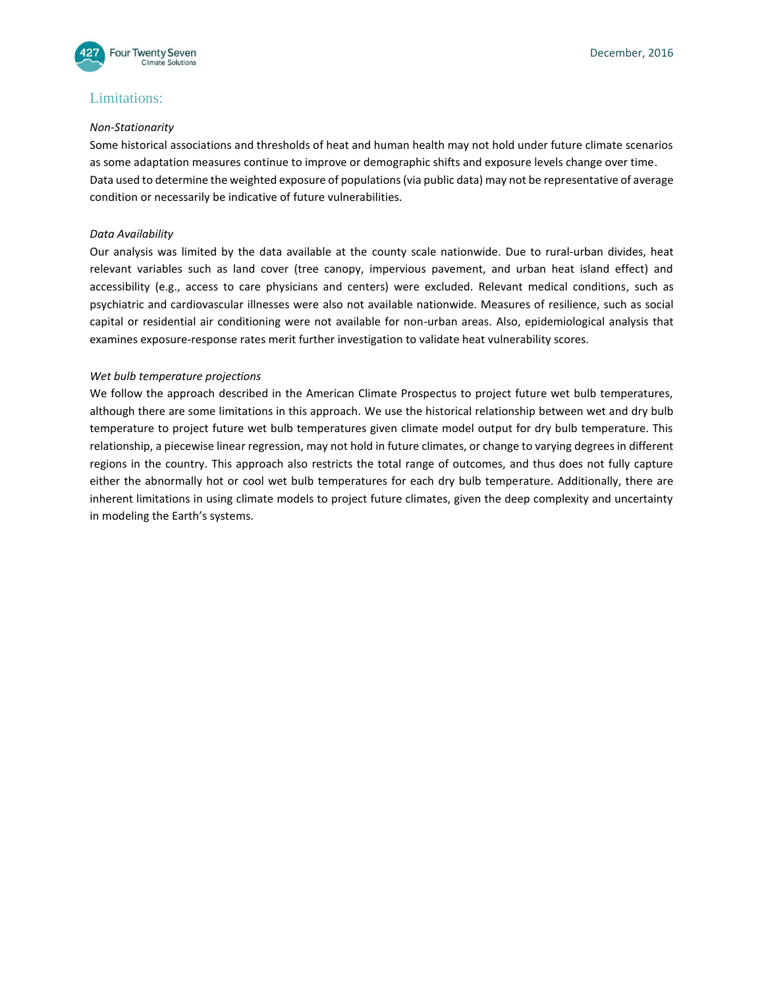

## Limitations:

#### *Non-Stationarity*

Some historical associations and thresholds of heat and human health may not hold under future climate scenarios as some adaptation measures continue to improve or demographic shifts and exposure levels change over time. Data used to determine the weighted exposure of populations (via public data) may not be representative of average condition or necessarily be indicative of future vulnerabilities.

### *Data Availability*

Our analysis was limited by the data available at the county scale nationwide. Due to rural-urban divides, heat relevant variables such as land cover (tree canopy, impervious pavement, and urban heat island effect) and accessibility (e.g., access to care physicians and centers) were excluded. Relevant medical conditions, such as psychiatric and cardiovascular illnesses were also not available nationwide. Measures of resilience, such as social capital or residential air conditioning were not available for non-urban areas. Also, epidemiological analysis that examines exposure-response rates merit further investigation to validate heat vulnerability scores.

### *Wet bulb temperature projections*

We follow the approach described in the American Climate Prospectus to project future wet bulb temperatures, although there are some limitations in this approach. We use the historical relationship between wet and dry bulb temperature to project future wet bulb temperatures given climate model output for dry bulb temperature. This relationship, a piecewise linear regression, may not hold in future climates, or change to varying degrees in different regions in the country. This approach also restricts the total range of outcomes, and thus does not fully capture either the abnormally hot or cool wet bulb temperatures for each dry bulb temperature. Additionally, there are inherent limitations in using climate models to project future climates, given the deep complexity and uncertainty in modeling the Earth's systems.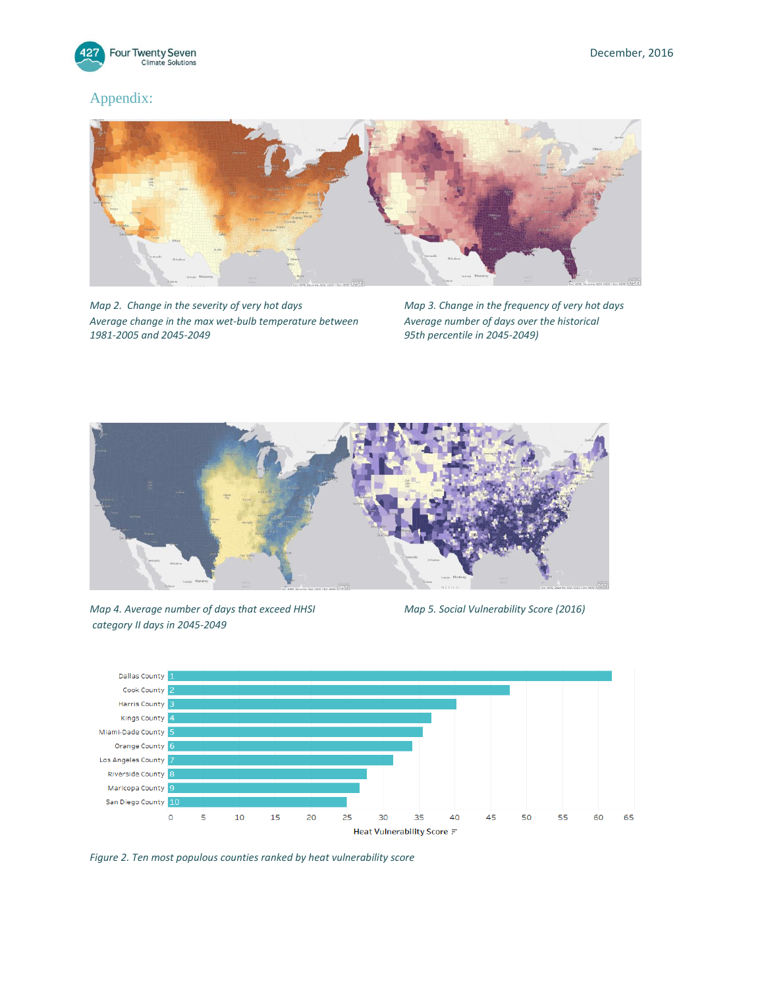

# Appendix:



*Map 2. Change in the severity of very hot days Map 3. Change in the frequency of very hot days Average change in the max wet-bulb temperature between Average number of days over the historical 1981-2005 and 2045-2049 95th percentile in 2045-2049)*



*Map 4. Average number of days that exceed HHSI Map 5. Social Vulnerability Score (2016) category II days in 2045-2049*



*Figure 2. Ten most populous counties ranked by heat vulnerability score*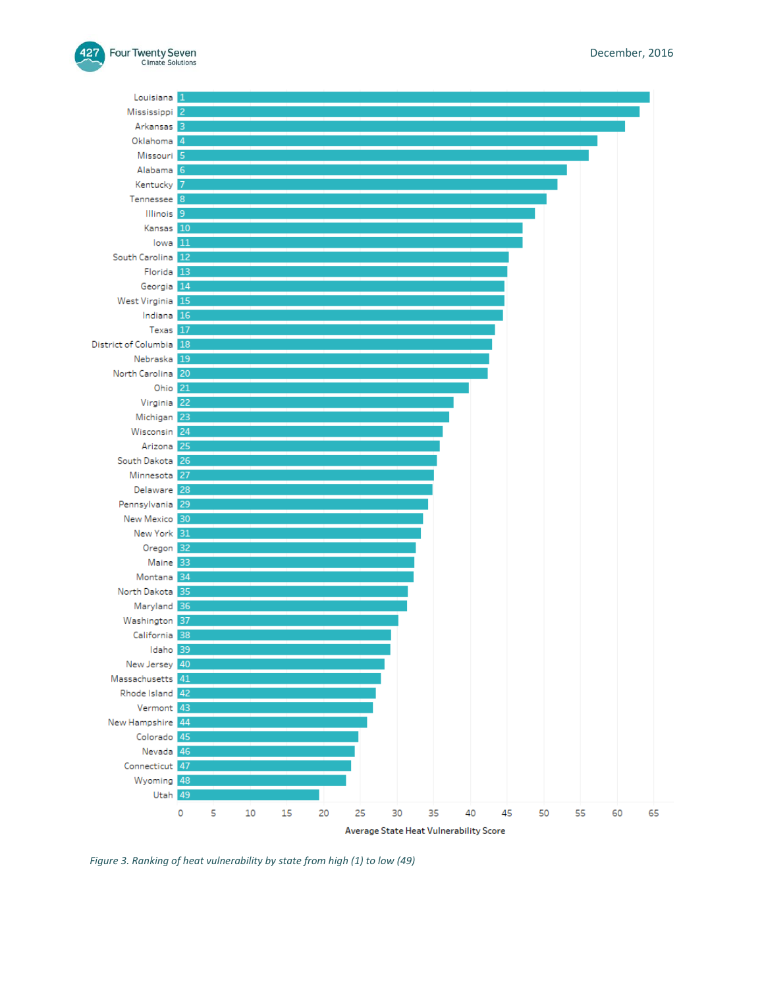



*Figure 3. Ranking of heat vulnerability by state from high (1) to low (49)*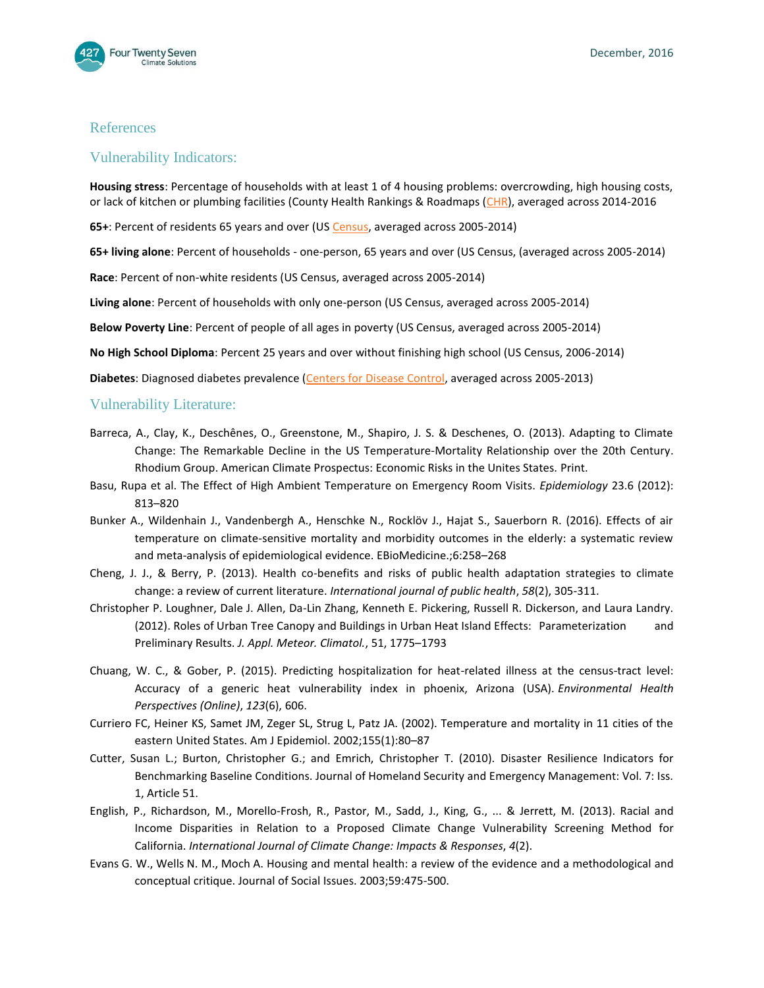

## References

# Vulnerability Indicators:

**Housing stress**: Percentage of households with at least 1 of 4 housing problems: overcrowding, high housing costs, or lack of kitchen or plumbing facilities (County Health Rankings & Roadmaps [\(CHR\)](http://www.countyhealthrankings.org/), averaged across 2014-2016

**65+**: Percent of residents 65 years and over (U[S Census,](https://www.census.gov/support/USACdataDownloads.html) averaged across 2005-2014)

**65+ living alone**: Percent of households - one-person, 65 years and over (US Census, (averaged across 2005-2014)

**Race**: Percent of non-white residents (US Census, averaged across 2005-2014)

**Living alone**: Percent of households with only one-person (US Census, averaged across 2005-2014)

**Below Poverty Line**: Percent of people of all ages in poverty (US Census, averaged across 2005-2014)

**No High School Diploma**: Percent 25 years and over without finishing high school (US Census, 2006-2014)

**Diabetes**: Diagnosed diabetes prevalence [\(Centers for Disease Co](http://www.cdc.gov/diabetes/data/county.html)ntrol, averaged across 2005-2013)

### Vulnerability Literature:

- Barreca, A., Clay, K., Deschênes, O., Greenstone, M., Shapiro, J. S. & Deschenes, O. (2013). Adapting to Climate Change: The Remarkable Decline in the US Temperature-Mortality Relationship over the 20th Century. Rhodium Group. American Climate Prospectus: Economic Risks in the Unites States. Print.
- Basu, Rupa et al. The Effect of High Ambient Temperature on Emergency Room Visits. *Epidemiology* 23.6 (2012): 813–820
- Bunker A., Wildenhain J., Vandenbergh A., Henschke N., Rocklöv J., Hajat S., Sauerborn R. (2016). Effects of air temperature on climate-sensitive mortality and morbidity outcomes in the elderly: a systematic review and meta-analysis of epidemiological evidence. EBioMedicine.;6:258–268
- Cheng, J. J., & Berry, P. (2013). Health co-benefits and risks of public health adaptation strategies to climate change: a review of current literature. *International journal of public health*, *58*(2), 305-311.
- Christopher P. Loughner, Dale J. Allen, Da-Lin Zhang, Kenneth E. Pickering, Russell R. Dickerson, and Laura Landry. (2012). Roles of Urban Tree Canopy and Buildings in Urban Heat Island Effects: Parameterization and Preliminary Results. *J. Appl. Meteor. Climatol.*, 51, 1775–1793
- Chuang, W. C., & Gober, P. (2015). Predicting hospitalization for heat-related illness at the census-tract level: Accuracy of a generic heat vulnerability index in phoenix, Arizona (USA). *Environmental Health Perspectives (Online)*, *123*(6), 606.
- Curriero FC, Heiner KS, Samet JM, Zeger SL, Strug L, Patz JA. (2002). Temperature and mortality in 11 cities of the eastern United States. Am J Epidemiol. 2002;155(1):80–87
- Cutter, Susan L.; Burton, Christopher G.; and Emrich, Christopher T. (2010). Disaster Resilience Indicators for Benchmarking Baseline Conditions. Journal of Homeland Security and Emergency Management: Vol. 7: Iss. 1, Article 51.
- English, P., Richardson, M., Morello-Frosh, R., Pastor, M., Sadd, J., King, G., ... & Jerrett, M. (2013). Racial and Income Disparities in Relation to a Proposed Climate Change Vulnerability Screening Method for California. *International Journal of Climate Change: Impacts & Responses*, *4*(2).
- Evans G. W., Wells N. M., Moch A. Housing and mental health: a review of the evidence and a methodological and conceptual critique. Journal of Social Issues. 2003;59:475-500.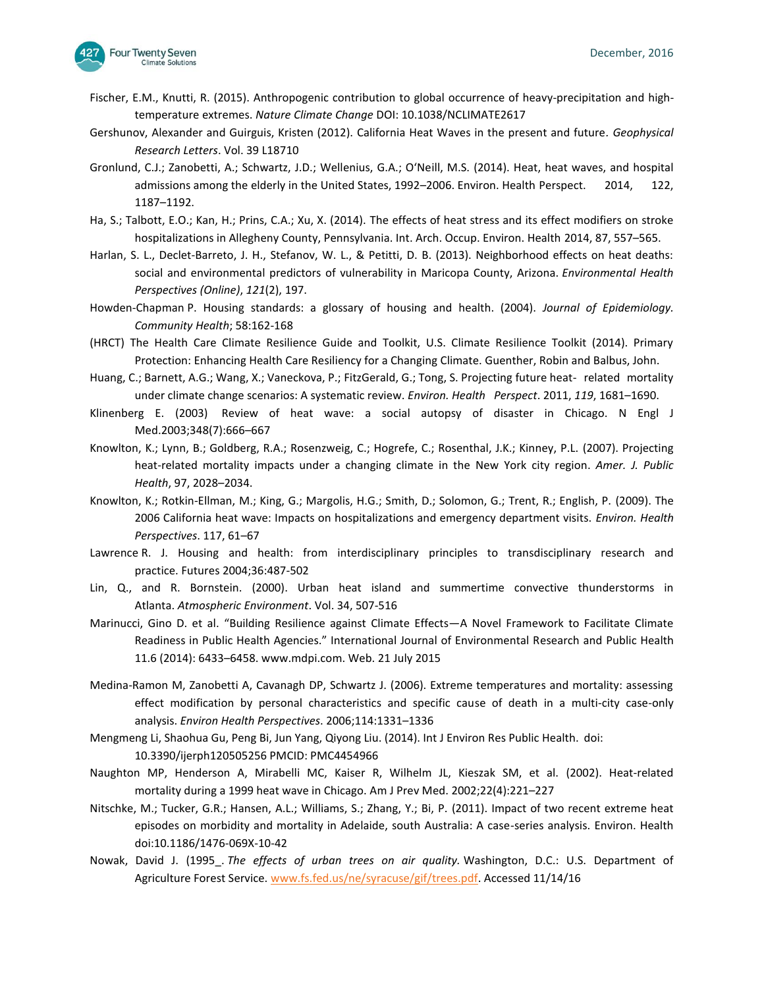

- Fischer, E.M., Knutti, R. (2015). Anthropogenic contribution to global occurrence of heavy-precipitation and hightemperature extremes. *Nature Climate Change* DOI: 10.1038/NCLIMATE2617
- Gershunov, Alexander and Guirguis, Kristen (2012). California Heat Waves in the present and future*. Geophysical Research Letters*. Vol. 39 L18710
- Gronlund, C.J.; Zanobetti, A.; Schwartz, J.D.; Wellenius, G.A.; O'Neill, M.S. (2014). Heat, heat waves, and hospital admissions among the elderly in the United States, 1992–2006. Environ. Health Perspect. 2014, 122, 1187–1192.
- Ha, S.; Talbott, E.O.; Kan, H.; Prins, C.A.; Xu, X. (2014). The effects of heat stress and its effect modifiers on stroke hospitalizations in Allegheny County, Pennsylvania. Int. Arch. Occup. Environ. Health 2014, 87, 557–565.
- Harlan, S. L., Declet-Barreto, J. H., Stefanov, W. L., & Petitti, D. B. (2013). Neighborhood effects on heat deaths: social and environmental predictors of vulnerability in Maricopa County, Arizona. *Environmental Health Perspectives (Online)*, *121*(2), 197.
- Howden-Chapman P. Housing standards: a glossary of housing and health. (2004). *Journal of Epidemiology. Community Health*; 58:162-168
- (HRCT) The Health Care Climate Resilience Guide and Toolkit, U.S. Climate Resilience Toolkit (2014). Primary Protection: Enhancing Health Care Resiliency for a Changing Climate. Guenther, Robin and Balbus, John.
- Huang, C.; Barnett, A.G.; Wang, X.; Vaneckova, P.; FitzGerald, G.; Tong, S. Projecting future heat- related mortality under climate change scenarios: A systematic review. *Environ. Health Perspect*. 2011, *119*, 1681–1690.
- Klinenberg E. (2003) Review of heat wave: a social autopsy of disaster in Chicago. N Engl J Med.2003;348(7):666–667
- Knowlton, K.; Lynn, B.; Goldberg, R.A.; Rosenzweig, C.; Hogrefe, C.; Rosenthal, J.K.; Kinney, P.L. (2007). Projecting heat-related mortality impacts under a changing climate in the New York city region. *Amer. J. Public Health*, 97, 2028–2034.
- Knowlton, K.; Rotkin-Ellman, M.; King, G.; Margolis, H.G.; Smith, D.; Solomon, G.; Trent, R.; English, P. (2009). The 2006 California heat wave: Impacts on hospitalizations and emergency department visits. *Environ. Health Perspectives*. 117, 61–67
- Lawrence R. J. Housing and health: from interdisciplinary principles to transdisciplinary research and practice. Futures 2004;36:487-502
- Lin, Q., and R. Bornstein. (2000). Urban heat island and summertime convective thunderstorms in Atlanta. *Atmospheric Environment*. Vol. 34, 507-516
- Marinucci, Gino D. et al. "Building Resilience against Climate Effects—A Novel Framework to Facilitate Climate Readiness in Public Health Agencies." International Journal of Environmental Research and Public Health 11.6 (2014): 6433–6458. www.mdpi.com. Web. 21 July 2015
- Medina-Ramon M, Zanobetti A, Cavanagh DP, Schwartz J. (2006). Extreme temperatures and mortality: assessing effect modification by personal characteristics and specific cause of death in a multi-city case-only analysis. *Environ Health Perspectives*. 2006;114:1331–1336
- Mengmeng Li, Shaohua Gu, Peng Bi, Jun Yang, Qiyong Liu. (2014). Int J Environ Res Public Health. doi: 10.3390/ijerph120505256 PMCID: PMC4454966
- Naughton MP, Henderson A, Mirabelli MC, Kaiser R, Wilhelm JL, Kieszak SM, et al. (2002). Heat-related mortality during a 1999 heat wave in Chicago. Am J Prev Med. 2002;22(4):221–227
- Nitschke, M.; Tucker, G.R.; Hansen, A.L.; Williams, S.; Zhang, Y.; Bi, P. (2011). Impact of two recent extreme heat episodes on morbidity and mortality in Adelaide, south Australia: A case-series analysis. Environ. Health doi:10.1186/1476-069X-10-42
- Nowak, David J. (1995\_. *The effects of urban trees on air quality.* Washington, D.C.: U.S. Department of Agriculture Forest Service. [www.fs.fed.us/ne/syracuse/gif/trees.pdf.](http://www.fs.fed.us/ne/syracuse/gif/trees.pdf) Accessed 11/14/16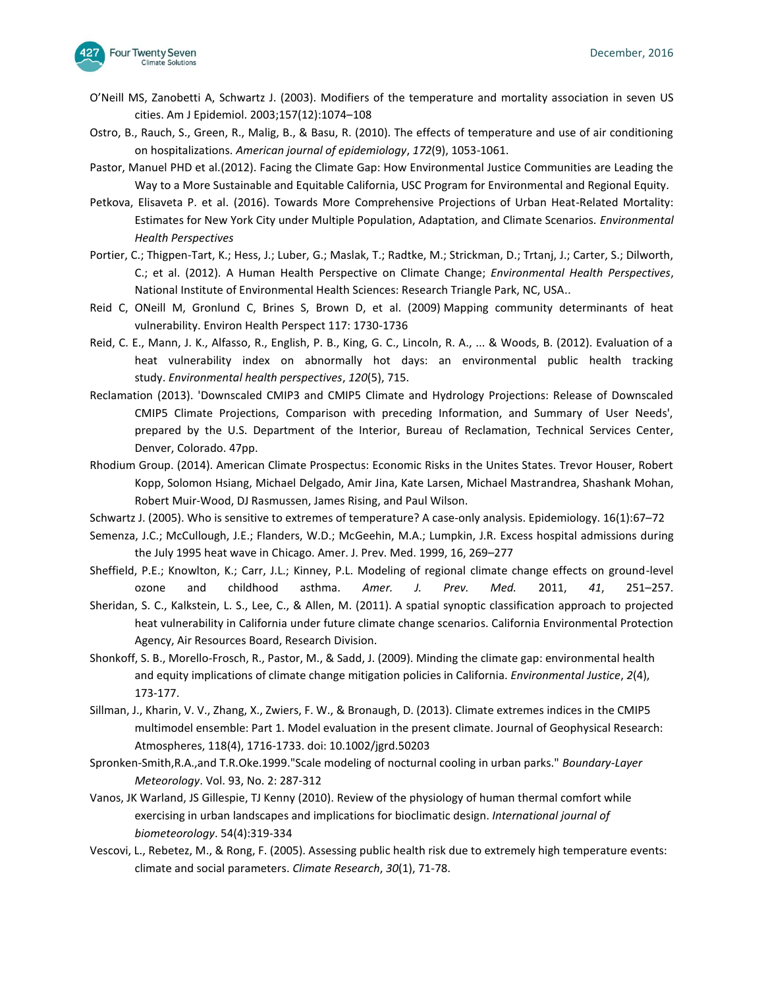- O'Neill MS, Zanobetti A, Schwartz J. (2003). Modifiers of the temperature and mortality association in seven US cities. Am J Epidemiol. 2003;157(12):1074–108
- Ostro, B., Rauch, S., Green, R., Malig, B., & Basu, R. (2010). The effects of temperature and use of air conditioning on hospitalizations. *American journal of epidemiology*, *172*(9), 1053-1061.
- Pastor, Manuel PHD et al.(2012). Facing the Climate Gap: How Environmental Justice Communities are Leading the Way to a More Sustainable and Equitable California, USC Program for Environmental and Regional Equity.
- Petkova, Elisaveta P. et al. (2016). Towards More Comprehensive Projections of Urban Heat-Related Mortality: Estimates for New York City under Multiple Population, Adaptation, and Climate Scenarios. *Environmental Health Perspectives*
- Portier, C.; Thigpen-Tart, K.; Hess, J.; Luber, G.; Maslak, T.; Radtke, M.; Strickman, D.; Trtanj, J.; Carter, S.; Dilworth, C.; et al. (2012). A Human Health Perspective on Climate Change; *Environmental Health Perspectives*, National Institute of Environmental Health Sciences: Research Triangle Park, NC, USA..
- Reid C, ONeill M, Gronlund C, Brines S, Brown D, et al. (2009) [Mapping community determinants of heat](https://www.ncbi.nlm.nih.gov/pmc/articles/PMC2801183/)  [vulnerability.](https://www.ncbi.nlm.nih.gov/pmc/articles/PMC2801183/) Environ Health Perspect 117: 1730-1736
- Reid, C. E., Mann, J. K., Alfasso, R., English, P. B., King, G. C., Lincoln, R. A., ... & Woods, B. (2012). Evaluation of a heat vulnerability index on abnormally hot days: an environmental public health tracking study. *Environmental health perspectives*, *120*(5), 715.
- Reclamation (2013). 'Downscaled CMIP3 and CMIP5 Climate and Hydrology Projections: Release of Downscaled CMIP5 Climate Projections, Comparison with preceding Information, and Summary of User Needs', prepared by the U.S. Department of the Interior, Bureau of Reclamation, Technical Services Center, Denver, Colorado. 47pp.
- Rhodium Group. (2014). American Climate Prospectus: Economic Risks in the Unites States. Trevor Houser, Robert Kopp, Solomon Hsiang, Michael Delgado, Amir Jina, Kate Larsen, Michael Mastrandrea, Shashank Mohan, Robert Muir-Wood, DJ Rasmussen, James Rising, and Paul Wilson.
- Schwartz J. (2005). Who is sensitive to extremes of temperature? A case-only analysis. Epidemiology. 16(1):67–72
- Semenza, J.C.; McCullough, J.E.; Flanders, W.D.; McGeehin, M.A.; Lumpkin, J.R. Excess hospital admissions during the July 1995 heat wave in Chicago. Amer. J. Prev. Med. 1999, 16, 269–277
- Sheffield, P.E.; Knowlton, K.; Carr, J.L.; Kinney, P.L. Modeling of regional climate change effects on ground-level ozone and childhood asthma. *Amer. J. Prev. Med.* 2011, *41*, 251–257.
- Sheridan, S. C., Kalkstein, L. S., Lee, C., & Allen, M. (2011). A spatial synoptic classification approach to projected heat vulnerability in California under future climate change scenarios. California Environmental Protection Agency, Air Resources Board, Research Division.
- Shonkoff, S. B., Morello-Frosch, R., Pastor, M., & Sadd, J. (2009). Minding the climate gap: environmental health and equity implications of climate change mitigation policies in California. *Environmental Justice*, *2*(4), 173-177.
- Sillman, J., Kharin, V. V., Zhang, X., Zwiers, F. W., & Bronaugh, D. (2013). Climate extremes indices in the CMIP5 multimodel ensemble: Part 1. Model evaluation in the present climate. Journal of Geophysical Research: Atmospheres, 118(4), 1716-1733. doi: 10.1002/jgrd.50203
- Spronken-Smith,R.A.,and T.R.Oke.1999."Scale modeling of nocturnal cooling in urban parks." *Boundary-Layer Meteorology*. Vol. 93, No. 2: 287-312
- Vanos, JK Warland, JS Gillespie, TJ Kenny (2010). [Review of the physiology of human thermal comfort while](https://scholar.google.com/scholar?oi=bibs&cluster=3119853566826341279&btnI=1&hl=en)  [exercising in urban landscapes and implications for bioclimatic design.](https://scholar.google.com/scholar?oi=bibs&cluster=3119853566826341279&btnI=1&hl=en) *International journal of biometeorology*. 54(4):319-334
- Vescovi, L., Rebetez, M., & Rong, F. (2005). Assessing public health risk due to extremely high temperature events: climate and social parameters. *Climate Research*, *30*(1), 71-78.